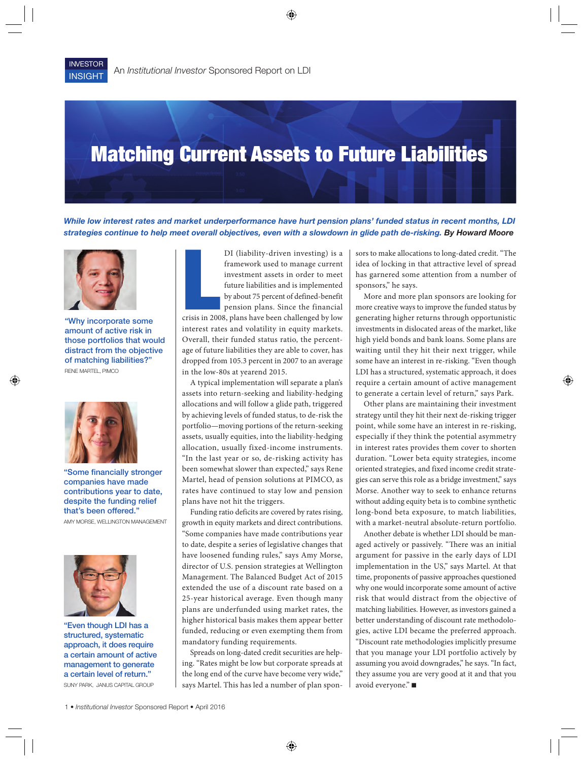## Matching Current Assets to Future Liabilities

*While low interest rates and market underperformance have hurt pension plans' funded status in recent months, LDI strategies continue to help meet overall objectives, even with a slowdown in glide path de-risking. By Howard Moore*



"Why incorporate some amount of active risk in those portfolios that would distract from the objective of matching liabilities?" RENE MARTEL, PIMCO



"Some financially stronger companies have made contributions year to date, despite the funding relief that's been offered."

AMY MORSE, WELLINGTON MANAGEMENT



"Even though LDI has a structured, systematic approach, it does require a certain amount of active management to generate a certain level of return." SUNY PARK, JANUS CAPITAL GROUP

Example 1<br>
Let's in 200 DI (liability-driven investing) is a framework used to manage current investment assets in order to meet future liabilities and is implemented by about 75 percent of defined-benefit pension plans. Since the financial crisis in 2008, plans have been challenged by low

interest rates and volatility in equity markets. Overall, their funded status ratio, the percentage of future liabilities they are able to cover, has dropped from 105.3 percent in 2007 to an average in the low-80s at yearend 2015.

A typical implementation will separate a plan's assets into return-seeking and liability-hedging allocations and will follow a glide path, triggered by achieving levels of funded status, to de-risk the portfolio—moving portions of the return-seeking assets, usually equities, into the liability-hedging allocation, usually fixed-income instruments. "In the last year or so, de-risking activity has been somewhat slower than expected," says Rene Martel, head of pension solutions at PIMCO, as rates have continued to stay low and pension plans have not hit the triggers.

Funding ratio deficits are covered by rates rising, growth in equity markets and direct contributions. "Some companies have made contributions year to date, despite a series of legislative changes that have loosened funding rules," says Amy Morse, director of U.S. pension strategies at Wellington Management. The Balanced Budget Act of 2015 extended the use of a discount rate based on a 25-year historical average. Even though many plans are underfunded using market rates, the higher historical basis makes them appear better funded, reducing or even exempting them from mandatory funding requirements.

Spreads on long-dated credit securities are helping. "Rates might be low but corporate spreads at the long end of the curve have become very wide," says Martel. This has led a number of plan sponsors to make allocations to long-dated credit. "The idea of locking in that attractive level of spread has garnered some attention from a number of sponsors," he says.

More and more plan sponsors are looking for more creative ways to improve the funded status by generating higher returns through opportunistic investments in dislocated areas of the market, like high yield bonds and bank loans. Some plans are waiting until they hit their next trigger, while some have an interest in re-risking. "Even though LDI has a structured, systematic approach, it does require a certain amount of active management to generate a certain level of return," says Park.

Other plans are maintaining their investment strategy until they hit their next de-risking trigger point, while some have an interest in re-risking, especially if they think the potential asymmetry in interest rates provides them cover to shorten duration. "Lower beta equity strategies, income oriented strategies, and fixed income credit strategies can serve this role as a bridge investment," says Morse. Another way to seek to enhance returns without adding equity beta is to combine synthetic long-bond beta exposure, to match liabilities, with a market-neutral absolute-return portfolio.

Another debate is whether LDI should be managed actively or passively. "There was an initial argument for passive in the early days of LDI implementation in the US," says Martel. At that time, proponents of passive approaches questioned why one would incorporate some amount of active risk that would distract from the objective of matching liabilities. However, as investors gained a better understanding of discount rate methodologies, active LDI became the preferred approach. "Discount rate methodologies implicitly presume that you manage your LDI portfolio actively by assuming you avoid downgrades," he says. "In fact, they assume you are very good at it and that you avoid everyone." ■